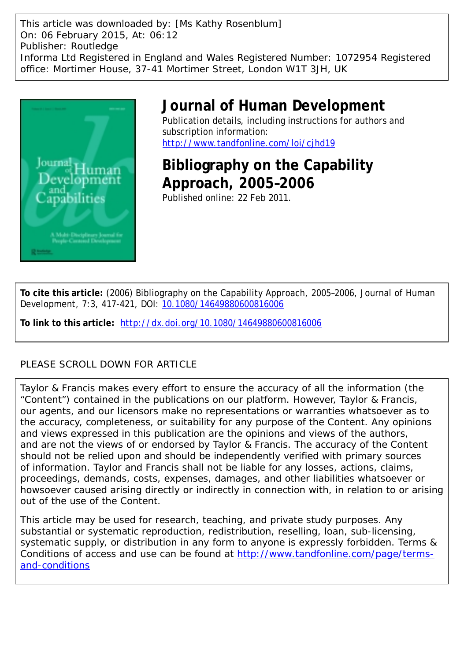This article was downloaded by: [Ms Kathy Rosenblum] On: 06 February 2015, At: 06:12 Publisher: Routledge Informa Ltd Registered in England and Wales Registered Number: 1072954 Registered office: Mortimer House, 37-41 Mortimer Street, London W1T 3JH, UK



## **Journal of Human Development**

Publication details, including instructions for authors and subscription information: <http://www.tandfonline.com/loi/cjhd19>

**Bibliography on the Capability Approach, 2005–2006** Published online: 22 Feb 2011.

**To cite this article:** (2006) Bibliography on the Capability Approach, 2005–2006, Journal of Human Development, 7:3, 417-421, DOI: [10.1080/14649880600816006](http://www.tandfonline.com/action/showCitFormats?doi=10.1080/14649880600816006)

**To link to this article:** <http://dx.doi.org/10.1080/14649880600816006>

### PLEASE SCROLL DOWN FOR ARTICLE

Taylor & Francis makes every effort to ensure the accuracy of all the information (the "Content") contained in the publications on our platform. However, Taylor & Francis, our agents, and our licensors make no representations or warranties whatsoever as to the accuracy, completeness, or suitability for any purpose of the Content. Any opinions and views expressed in this publication are the opinions and views of the authors, and are not the views of or endorsed by Taylor & Francis. The accuracy of the Content should not be relied upon and should be independently verified with primary sources of information. Taylor and Francis shall not be liable for any losses, actions, claims, proceedings, demands, costs, expenses, damages, and other liabilities whatsoever or howsoever caused arising directly or indirectly in connection with, in relation to or arising out of the use of the Content.

This article may be used for research, teaching, and private study purposes. Any substantial or systematic reproduction, redistribution, reselling, loan, sub-licensing, systematic supply, or distribution in any form to anyone is expressly forbidden. Terms & Conditions of access and use can be found at [http://www.tandfonline.com/page/terms](http://www.tandfonline.com/page/terms-and-conditions)[and-conditions](http://www.tandfonline.com/page/terms-and-conditions)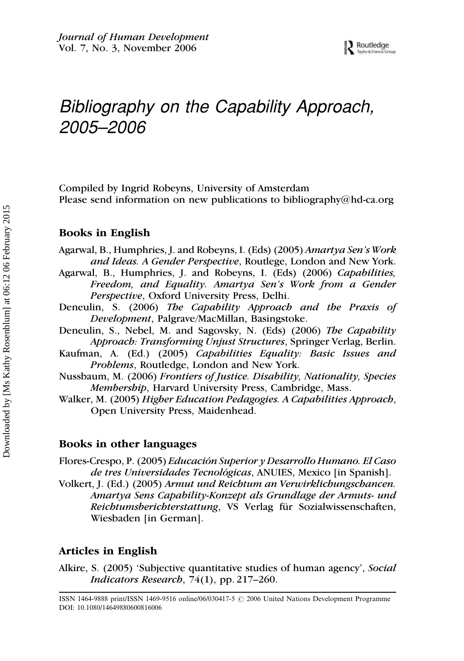# Bibliography on the Capability Approach, 2005–2006

Compiled by Ingrid Robeyns, University of Amsterdam Please send information on new publications to bibliography@hd-ca.org

#### Books in English

- Agarwal, B., Humphries, J. and Robeyns, I. (Eds) (2005) Amartya Sen's Work and Ideas. A Gender Perspective, Routlege, London and New York.
- Agarwal, B., Humphries, J. and Robeyns, I. (Eds) (2006) Capabilities, Freedom, and Equality. Amartya Sen's Work from a Gender Perspective, Oxford University Press, Delhi.
- Deneulin, S. (2006) The Capability Approach and the Praxis of Development, Palgrave/MacMillan, Basingstoke.
- Deneulin, S., Nebel, M. and Sagovsky, N. (Eds) (2006) The Capability Approach: Transforming Unjust Structures, Springer Verlag, Berlin.
- Kaufman, A. (Ed.) (2005) Capabilities Equality: Basic Issues and Problems, Routledge, London and New York.
- Nussbaum, M. (2006) Frontiers of Justice. Disability, Nationality, Species Membership, Harvard University Press, Cambridge, Mass.
- Walker, M. (2005) Higher Education Pedagogies. A Capabilities Approach, Open University Press, Maidenhead.

#### Books in other languages

Flores-Crespo, P. (2005) Educación Superior y Desarrollo Humano. El Caso de tres Universidades Tecnológicas, ANUIES, Mexico [in Spanish].

Volkert, J. (Ed.) (2005) Armut und Reichtum an Verwirklichungschancen. Amartya Sens Capability-Konzept als Grundlage der Armuts- und Reichtumsberichterstattung, VS Verlag für Sozialwissenschaften, Wiesbaden [in German].

#### Articles in English

Alkire, S. (2005) 'Subjective quantitative studies of human agency', Social *Indicators Research*,  $74(1)$ , pp. 217–260.

ISSN 1464-9888 print/ISSN 1469-9516 online/06/030417-5  $\odot$  2006 United Nations Development Programme DOI: 10.1080/14649880600816006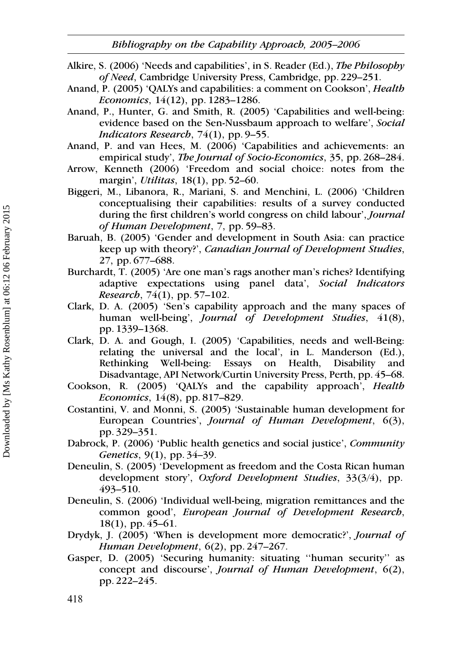- Alkire, S. (2006) 'Needs and capabilities', in S. Reader (Ed.), The Philosophy of Need, Cambridge University Press, Cambridge, pp. 229–251.
- Anand, P. (2005) 'QALYs and capabilities: a comment on Cookson', Health Economics, 14(12), pp. 1283–1286.
- Anand, P., Hunter, G. and Smith, R. (2005) 'Capabilities and well-being: evidence based on the Sen-Nussbaum approach to welfare', Social Indicators Research,  $74(1)$ , pp. 9–55.
- Anand, P. and van Hees, M. (2006) 'Capabilities and achievements: an empirical study', The Journal of Socio-Economics, 35, pp. 268–284.
- Arrow, Kenneth (2006) 'Freedom and social choice: notes from the margin', *Utilitas*, 18(1), pp. 52–60.
- Biggeri, M., Libanora, R., Mariani, S. and Menchini, L. (2006) 'Children conceptualising their capabilities: results of a survey conducted during the first children's world congress on child labour', *Journal* of Human Development, 7, pp. 59–83.
- Baruah, B. (2005) 'Gender and development in South Asia: can practice keep up with theory?', Canadian Journal of Development Studies, 27, pp. 677–688.
- Burchardt, T. (2005) 'Are one man's rags another man's riches? Identifying adaptive expectations using panel data', Social Indicators Research, 74(1), pp. 57–102.
- Clark, D. A. (2005) 'Sen's capability approach and the many spaces of human well-being', Journal of Development Studies, 41(8), pp. 1339–1368.
- Clark, D. A. and Gough, I. (2005) 'Capabilities, needs and well-Being: relating the universal and the local', in L. Manderson (Ed.), Rethinking Well-being: Essays on Health, Disability and Disadvantage, API Network/Curtin University Press, Perth, pp. 45–68.
- Cookson, R. (2005) 'QALYs and the capability approach', Health Economics, 14(8), pp. 817–829.
- Costantini, V. and Monni, S. (2005) 'Sustainable human development for European Countries', Journal of Human Development, 6(3), pp. 329–351.
- Dabrock, P. (2006) 'Public health genetics and social justice', Community Genetics, 9(1), pp. 34–39.
- Deneulin, S. (2005) 'Development as freedom and the Costa Rican human development story', Oxford Development Studies, 33(3/4), pp. 493–510.
- Deneulin, S. (2006) 'Individual well-being, migration remittances and the common good', European Journal of Development Research, 18(1), pp. 45–61.
- Drydyk, J. (2005) 'When is development more democratic?', Journal of Human Development, 6(2), pp. 247–267.
- Gasper, D. (2005) 'Securing humanity: situating ''human security'' as concept and discourse', Journal of Human Development, 6(2), pp. 222–245.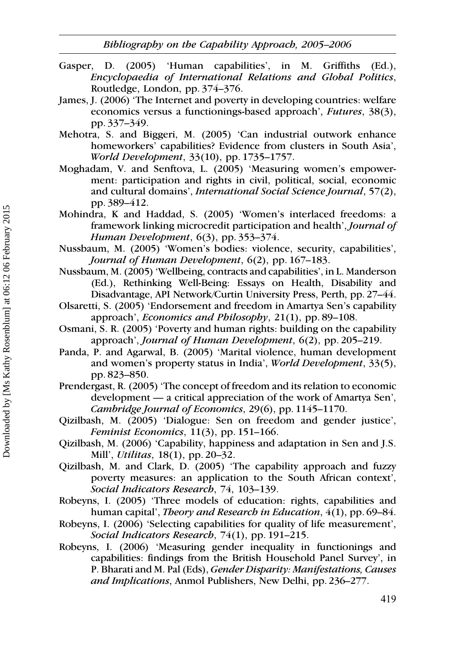Bibliography on the Capability Approach, 2005–2006

- Gasper, D. (2005) 'Human capabilities', in M. Griffiths (Ed.), Encyclopaedia of International Relations and Global Politics, Routledge, London, pp. 374–376.
- James, J. (2006) 'The Internet and poverty in developing countries: welfare economics versus a functionings-based approach', Futures, 38(3), pp. 337–349.
- Mehotra, S. and Biggeri, M. (2005) 'Can industrial outwork enhance homeworkers' capabilities? Evidence from clusters in South Asia', World Development, 33(10), pp. 1735–1757.
- Moghadam, V. and Senftova, L. (2005) 'Measuring women's empowerment: participation and rights in civil, political, social, economic and cultural domains', International Social Science Journal, 57(2), pp. 389–412.
- Mohindra, K and Haddad, S. (2005) 'Women's interlaced freedoms: a framework linking microcredit participation and health', Journal of Human Development, 6(3), pp. 353–374.
- Nussbaum, M. (2005) 'Women's bodies: violence, security, capabilities', Journal of Human Development, 6(2), pp. 167–183.
- Nussbaum, M. (2005) 'Wellbeing, contracts and capabilities', in L. Manderson (Ed.), Rethinking Well-Being: Essays on Health, Disability and Disadvantage, API Network/Curtin University Press, Perth, pp. 27–44.
- Olsaretti, S. (2005) 'Endorsement and freedom in Amartya Sen's capability approach', *Economics and Philosophy*,  $21(1)$ , pp. 89–108.
- Osmani, S. R. (2005) 'Poverty and human rights: building on the capability approach', Journal of Human Development, 6(2), pp. 205–219.
- Panda, P. and Agarwal, B. (2005) 'Marital violence, human development and women's property status in India', World Development, 33(5), pp. 823–850.
- Prendergast, R. (2005) 'The concept of freedom and its relation to economic development — a critical appreciation of the work of Amartya Sen', Cambridge Journal of Economics, 29(6), pp. 1145–1170.
- Qizilbash, M. (2005) 'Dialogue: Sen on freedom and gender justice', Feminist Economics, 11(3), pp. 151–166.
- Qizilbash, M. (2006) 'Capability, happiness and adaptation in Sen and J.S. Mill', Utilitas, 18(1), pp. 20–32.
- Qizilbash, M. and Clark, D. (2005) 'The capability approach and fuzzy poverty measures: an application to the South African context', Social Indicators Research, 74, 103–139.
- Robeyns, I. (2005) 'Three models of education: rights, capabilities and human capital', Theory and Research in Education, 4(1), pp. 69–84.
- Robeyns, I. (2006) 'Selecting capabilities for quality of life measurement', Social Indicators Research, 74(1), pp. 191–215.
- Robeyns, I. (2006) 'Measuring gender inequality in functionings and capabilities: findings from the British Household Panel Survey', in P. Bharati and M. Pal (Eds), Gender Disparity: Manifestations, Causes and Implications, Anmol Publishers, New Delhi, pp. 236–277.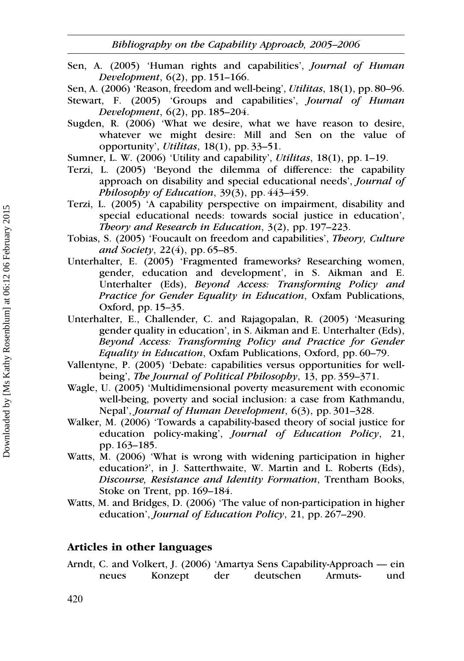Sen, A. (2005) 'Human rights and capabilities', Journal of Human Development, 6(2), pp. 151–166.

Sen, A. (2006) 'Reason, freedom and well-being', Utilitas, 18(1), pp. 80–96.

- Stewart, F. (2005) 'Groups and capabilities', *Journal of Human* Development, 6(2), pp. 185–204.
- Sugden, R. (2006) 'What we desire, what we have reason to desire, whatever we might desire: Mill and Sen on the value of opportunity', Utilitas, 18(1), pp. 33–51.
- Sumner, L. W. (2006) 'Utility and capability', Utilitas, 18(1), pp. 1–19.
- Terzi, L. (2005) 'Beyond the dilemma of difference: the capability approach on disability and special educational needs', Journal of Philosophy of Education,  $39(3)$ , pp.  $443-459$ .
- Terzi, L. (2005) 'A capability perspective on impairment, disability and special educational needs: towards social justice in education', Theory and Research in Education, 3(2), pp. 197–223.
- Tobias, S. (2005) 'Foucault on freedom and capabilities', Theory, Culture and Society,  $22(4)$ , pp. 65–85.
- Unterhalter, E. (2005) 'Fragmented frameworks? Researching women, gender, education and development', in S. Aikman and E. Unterhalter (Eds), Beyond Access: Transforming Policy and Practice for Gender Equality in Education, Oxfam Publications, Oxford, pp. 15–35.
- Unterhalter, E., Challender, C. and Rajagopalan, R. (2005) 'Measuring gender quality in education', in S. Aikman and E. Unterhalter (Eds), Beyond Access: Transforming Policy and Practice for Gender Equality in Education, Oxfam Publications, Oxford, pp. 60–79.
- Vallentyne, P. (2005) 'Debate: capabilities versus opportunities for wellbeing', *The Journal of Political Philosophy*, 13, pp. 359–371.
- Wagle, U. (2005) 'Multidimensional poverty measurement with economic well-being, poverty and social inclusion: a case from Kathmandu, Nepal', Journal of Human Development, 6(3), pp. 301–328.
- Walker, M. (2006) 'Towards a capability-based theory of social justice for education policy-making', Journal of Education Policy, 21, pp. 163–185.
- Watts, M. (2006) 'What is wrong with widening participation in higher education?', in J. Satterthwaite, W. Martin and L. Roberts (Eds), Discourse, Resistance and Identity Formation, Trentham Books, Stoke on Trent, pp. 169–184.
- Watts, M. and Bridges, D. (2006) 'The value of non-participation in higher education', Journal of Education Policy, 21, pp. 267–290.

#### Articles in other languages

Arndt, C. and Volkert, J. (2006) 'Amartya Sens Capability-Approach — ein neues Konzept der deutschen Armuts- und